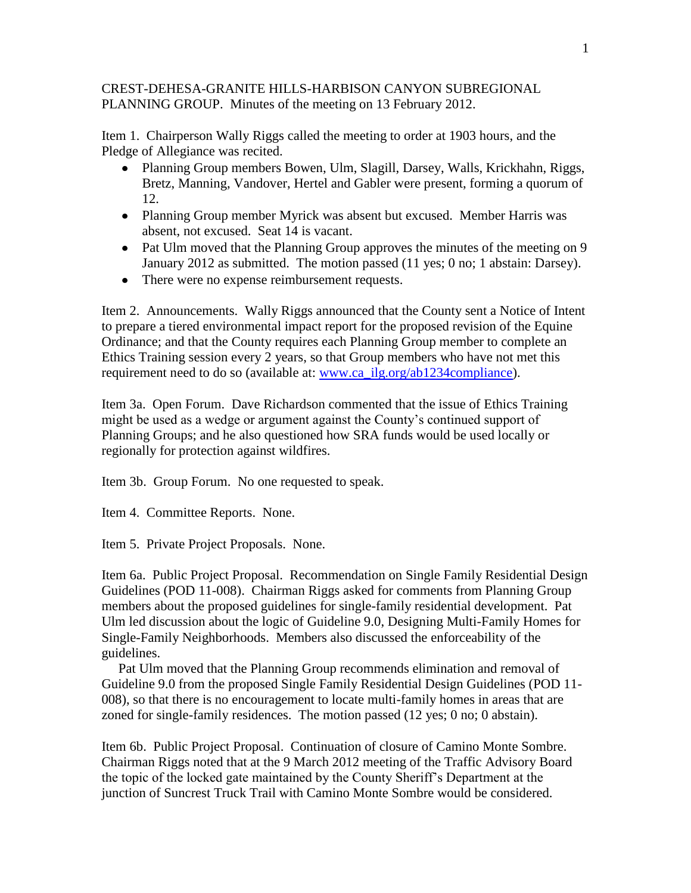## CREST-DEHESA-GRANITE HILLS-HARBISON CANYON SUBREGIONAL PLANNING GROUP. Minutes of the meeting on 13 February 2012.

Item 1. Chairperson Wally Riggs called the meeting to order at 1903 hours, and the Pledge of Allegiance was recited.

- Planning Group members Bowen, Ulm, Slagill, Darsey, Walls, Krickhahn, Riggs, Bretz, Manning, Vandover, Hertel and Gabler were present, forming a quorum of 12.
- Planning Group member Myrick was absent but excused. Member Harris was absent, not excused. Seat 14 is vacant.
- Pat Ulm moved that the Planning Group approves the minutes of the meeting on 9 January 2012 as submitted. The motion passed (11 yes; 0 no; 1 abstain: Darsey).
- There were no expense reimbursement requests.

Item 2. Announcements. Wally Riggs announced that the County sent a Notice of Intent to prepare a tiered environmental impact report for the proposed revision of the Equine Ordinance; and that the County requires each Planning Group member to complete an Ethics Training session every 2 years, so that Group members who have not met this requirement need to do so (available at: [www.ca\\_ilg.org/ab1234compliance\)](http://www.ca_ilg.org/ab1234compliance).

Item 3a. Open Forum. Dave Richardson commented that the issue of Ethics Training might be used as a wedge or argument against the County's continued support of Planning Groups; and he also questioned how SRA funds would be used locally or regionally for protection against wildfires.

Item 3b. Group Forum. No one requested to speak.

Item 4. Committee Reports. None.

Item 5. Private Project Proposals. None.

Item 6a. Public Project Proposal. Recommendation on Single Family Residential Design Guidelines (POD 11-008). Chairman Riggs asked for comments from Planning Group members about the proposed guidelines for single-family residential development. Pat Ulm led discussion about the logic of Guideline 9.0, Designing Multi-Family Homes for Single-Family Neighborhoods. Members also discussed the enforceability of the guidelines.

 Pat Ulm moved that the Planning Group recommends elimination and removal of Guideline 9.0 from the proposed Single Family Residential Design Guidelines (POD 11- 008), so that there is no encouragement to locate multi-family homes in areas that are zoned for single-family residences. The motion passed (12 yes; 0 no; 0 abstain).

Item 6b. Public Project Proposal. Continuation of closure of Camino Monte Sombre. Chairman Riggs noted that at the 9 March 2012 meeting of the Traffic Advisory Board the topic of the locked gate maintained by the County Sheriff's Department at the junction of Suncrest Truck Trail with Camino Monte Sombre would be considered.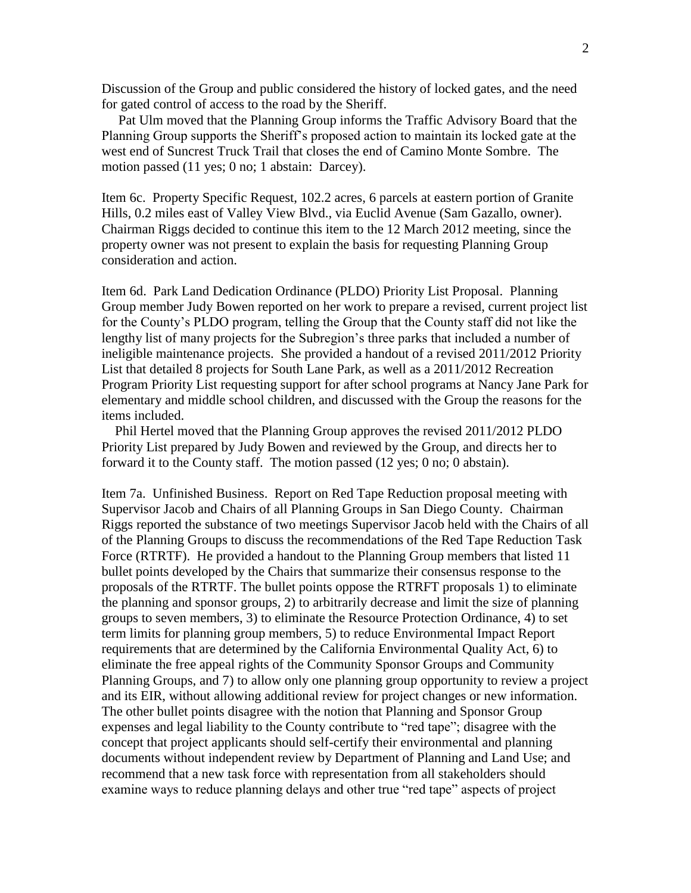Discussion of the Group and public considered the history of locked gates, and the need for gated control of access to the road by the Sheriff.

 Pat Ulm moved that the Planning Group informs the Traffic Advisory Board that the Planning Group supports the Sheriff's proposed action to maintain its locked gate at the west end of Suncrest Truck Trail that closes the end of Camino Monte Sombre. The motion passed (11 yes; 0 no; 1 abstain: Darcey).

Item 6c. Property Specific Request, 102.2 acres, 6 parcels at eastern portion of Granite Hills, 0.2 miles east of Valley View Blvd., via Euclid Avenue (Sam Gazallo, owner). Chairman Riggs decided to continue this item to the 12 March 2012 meeting, since the property owner was not present to explain the basis for requesting Planning Group consideration and action.

Item 6d. Park Land Dedication Ordinance (PLDO) Priority List Proposal. Planning Group member Judy Bowen reported on her work to prepare a revised, current project list for the County's PLDO program, telling the Group that the County staff did not like the lengthy list of many projects for the Subregion's three parks that included a number of ineligible maintenance projects. She provided a handout of a revised 2011/2012 Priority List that detailed 8 projects for South Lane Park, as well as a 2011/2012 Recreation Program Priority List requesting support for after school programs at Nancy Jane Park for elementary and middle school children, and discussed with the Group the reasons for the items included.

 Phil Hertel moved that the Planning Group approves the revised 2011/2012 PLDO Priority List prepared by Judy Bowen and reviewed by the Group, and directs her to forward it to the County staff. The motion passed (12 yes; 0 no; 0 abstain).

Item 7a. Unfinished Business. Report on Red Tape Reduction proposal meeting with Supervisor Jacob and Chairs of all Planning Groups in San Diego County. Chairman Riggs reported the substance of two meetings Supervisor Jacob held with the Chairs of all of the Planning Groups to discuss the recommendations of the Red Tape Reduction Task Force (RTRTF). He provided a handout to the Planning Group members that listed 11 bullet points developed by the Chairs that summarize their consensus response to the proposals of the RTRTF. The bullet points oppose the RTRFT proposals 1) to eliminate the planning and sponsor groups, 2) to arbitrarily decrease and limit the size of planning groups to seven members, 3) to eliminate the Resource Protection Ordinance, 4) to set term limits for planning group members, 5) to reduce Environmental Impact Report requirements that are determined by the California Environmental Quality Act, 6) to eliminate the free appeal rights of the Community Sponsor Groups and Community Planning Groups, and 7) to allow only one planning group opportunity to review a project and its EIR, without allowing additional review for project changes or new information. The other bullet points disagree with the notion that Planning and Sponsor Group expenses and legal liability to the County contribute to "red tape"; disagree with the concept that project applicants should self-certify their environmental and planning documents without independent review by Department of Planning and Land Use; and recommend that a new task force with representation from all stakeholders should examine ways to reduce planning delays and other true "red tape" aspects of project